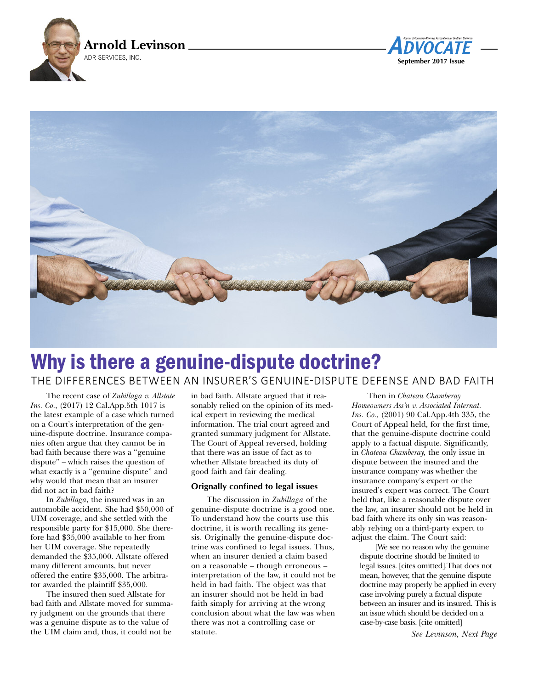





## Why is there a genuine-dispute doctrine? The differences beTween an insurer's genuine-dispuTe defense and bad faiTh

The recent case of *Zubillaga v. Allstate Ins. Co.,* (2017) 12 Cal.App.5th 1017 is the latest example of a case which turned on a Court's interpretation of the genuine-dispute doctrine. Insurance companies often argue that they cannot be in bad faith because there was a "genuine dispute" – which raises the question of what exactly is a "genuine dispute" and why would that mean that an insurer did not act in bad faith?

In *Zubillaga*, the insured was in an automobile accident. She had \$50,000 of UIM coverage, and she settled with the responsible party for \$15,000. She therefore had \$35,000 available to her from her UIM coverage. She repeatedly demanded the \$35,000. Allstate offered many different amounts, but never offered the entire \$35,000. The arbitrator awarded the plaintiff \$35,000.

The insured then sued Allstate for bad faith and Allstate moved for summary judgment on the grounds that there was a genuine dispute as to the value of the UIM claim and, thus, it could not be

in bad faith. Allstate argued that it reasonably relied on the opinion of its medical expert in reviewing the medical information. The trial court agreed and granted summary judgment for Allstate. The Court of Appeal reversed, holding that there was an issue of fact as to whether Allstate breached its duty of good faith and fair dealing.

## **Orignally confined to legal issues**

The discussion in *Zubillaga* of the genuine-dispute doctrine is a good one. To understand how the courts use this doctrine, it is worth recalling its genesis. Originally the genuine-dispute doctrine was confined to legal issues. Thus, when an insurer denied a claim based on a reasonable – though erroneous – interpretation of the law, it could not be held in bad faith. The object was that an insurer should not be held in bad faith simply for arriving at the wrong conclusion about what the law was when there was not a controlling case or statute.

Then in *Chateau Chamberay Homeowners Ass'n v. Associated Internat. Ins. Co.,* (2001) 90 Cal.App.4th 335, the Court of Appeal held, for the first time, that the genuine-dispute doctrine could apply to a factual dispute. Significantly, in *Chateau Chamberay,* the only issue in dispute between the insured and the insurance company was whether the insurance company's expert or the insured's expert was correct. The Court held that, like a reasonable dispute over the law, an insurer should not be held in bad faith where its only sin was reasonably relying on a third-party expert to adjust the claim. The Court said:

[We see no reason why the genuine dispute doctrine should be limited to legal issues. [cites omitted].That does not mean, however, that the genuine dispute doctrine may properly be applied in every case involving purely a factual dispute between an insurer and its insured. This is an issue which should be decided on a case-by-case basis. [cite omitted]

*See Levinson, Next Page*